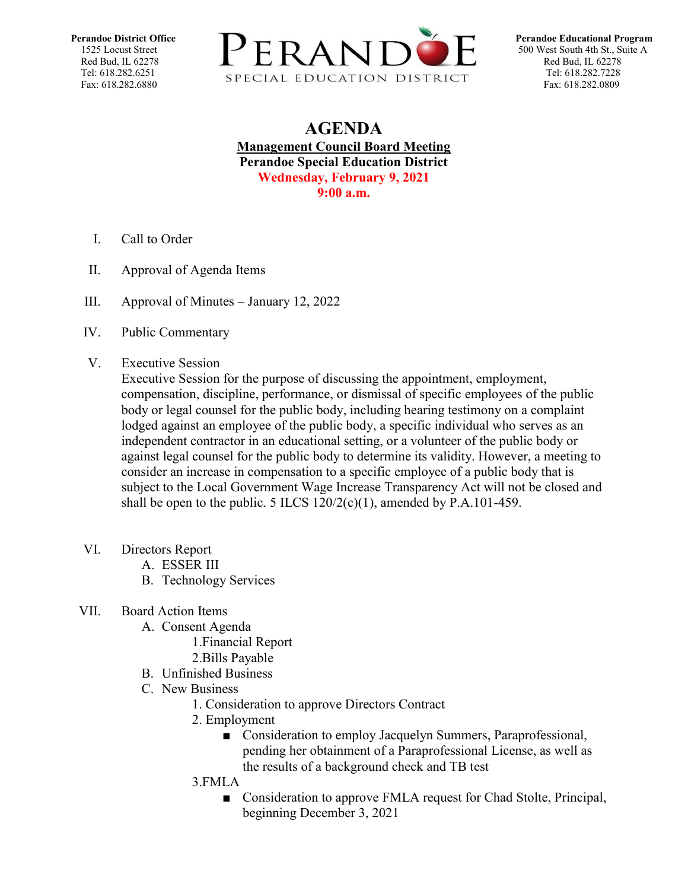

## **AGENDA Management Council Board Meeting Perandoe Special Education District Wednesday, February 9, 2021 9:00 a.m.**

- I. Call to Order
- II. Approval of Agenda Items
- III. Approval of Minutes [January 12, 2022](https://docs.google.com/document/d/1XxHCvETK_D-i_D7by6NI-QxliFW0SnM9/edit?usp=sharing&ouid=109781567068093532073&rtpof=true&sd=true)
- IV. Public Commentary
- V. Executive Session

Executive Session for the purpose of discussing the appointment, employment, compensation, discipline, performance, or dismissal of specific employees of the public body or legal counsel for the public body, including hearing testimony on a complaint lodged against an employee of the public body, a specific individual who serves as an independent contractor in an educational setting, or a volunteer of the public body or against legal counsel for the public body to determine its validity. However, a meeting to consider an increase in compensation to a specific employee of a public body that is subject to the Local Government Wage Increase Transparency Act will not be closed and shall be open to the public. 5 ILCS  $120/2(c)(1)$ , amended by P.A.101-459.

- VI. Directors Report
	- A. ESSER III
	- B. Technology Services

## VII. Board Action Items

- A. Consent Agenda
	- 1.Financial Report
	- 2.Bills Payable
- B. Unfinished Business
- C. New Business
	- 1. Consideration to approve Directors Contract
	- 2. Employment
		- Consideration to employ Jacquelyn Summers, Paraprofessional, pending her obtainment of a Paraprofessional License, as well as the results of a background check and TB test
	- 3.FMLA
		- Consideration to approve FMLA request for Chad Stolte, Principal, beginning December 3, 2021